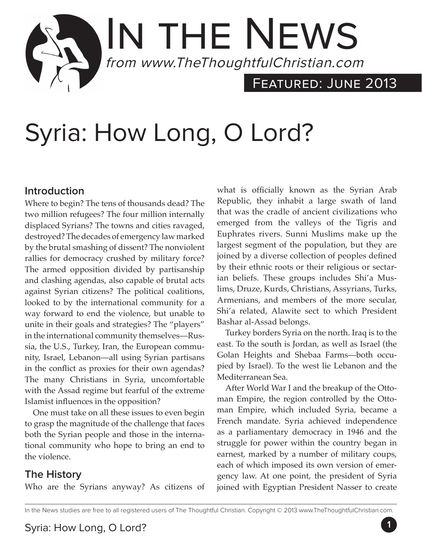# IN THE NEWS from www.TheThoughtfulChristian.com FEATURED: JUNE 2013

# Syria: How Long, O Lord?

# **Introduction**

Where to begin? The tens of thousands dead? The two million refugees? The four million internally displaced Syrians? The towns and cities ravaged, destroyed? The decades of emergency law marked by the brutal smashing of dissent? The nonviolent rallies for democracy crushed by military force? The armed opposition divided by partisanship and clashing agendas, also capable of brutal acts against Syrian citizens? The political coalitions, looked to by the international community for a way forward to end the violence, but unable to unite in their goals and strategies? The "players" in the international community themselves—Russia, the U.S., Turkey, Iran, the European community, Israel, Lebanon—all using Syrian partisans in the conflict as proxies for their own agendas? The many Christians in Syria, uncomfortable with the Assad regime but fearful of the extreme Islamist influences in the opposition?

One must take on all these issues to even begin to grasp the magnitude of the challenge that faces both the Syrian people and those in the international community who hope to bring an end to the violence.

# **The History**

Who are the Syrians anyway? As citizens of

what is officially known as the Syrian Arab Republic, they inhabit a large swath of land that was the cradle of ancient civilizations who emerged from the valleys of the Tigris and Euphrates rivers. Sunni Muslims make up the largest segment of the population, but they are joined by a diverse collection of peoples defined by their ethnic roots or their religious or sectarian beliefs. These groups includes Shi'a Muslims, Druze, Kurds, Christians, Assyrians, Turks, Armenians, and members of the more secular, Shi'a related, Alawite sect to which President Bashar al-Assad belongs.

Turkey borders Syria on the north. Iraq is to the east. To the south is Jordan, as well as Israel (the Golan Heights and Shebaa Farms—both occupied by Israel). To the west lie Lebanon and the Mediterranean Sea.

After World War I and the breakup of the Ottoman Empire, the region controlled by the Ottoman Empire, which included Syria, became a French mandate. Syria achieved independence as a parliamentary democracy in 1946 and the struggle for power within the country began in earnest, marked by a number of military coups, each of which imposed its own version of emergency law. At one point, the president of Syria joined with Egyptian President Nasser to create

In the News studies are free to all registered users of The Thoughtful Christian. Copyright © 2013 www.TheThoughtfulChristian.com.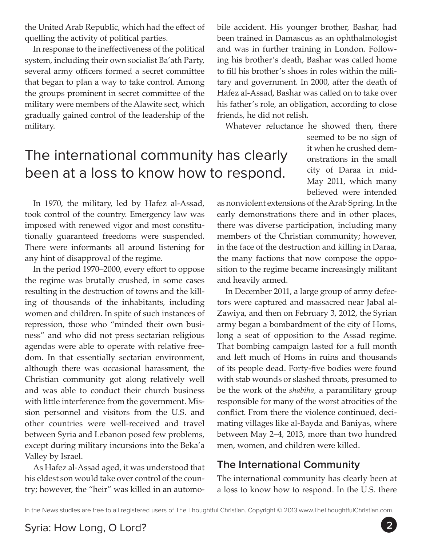the United Arab Republic, which had the effect of quelling the activity of political parties.

In response to the ineffectiveness of the political system, including their own socialist Ba'ath Party, several army officers formed a secret committee that began to plan a way to take control. Among the groups prominent in secret committee of the military were members of the Alawite sect, which gradually gained control of the leadership of the military.

The international community has clearly been at a loss to know how to respond.

In 1970, the military, led by Hafez al-Assad, took control of the country. Emergency law was imposed with renewed vigor and most constitutionally guaranteed freedoms were suspended. There were informants all around listening for any hint of disapproval of the regime.

In the period 1970–2000, every effort to oppose the regime was brutally crushed, in some cases resulting in the destruction of towns and the killing of thousands of the inhabitants, including women and children. In spite of such instances of repression, those who "minded their own business" and who did not press sectarian religious agendas were able to operate with relative freedom. In that essentially sectarian environment, although there was occasional harassment, the Christian community got along relatively well and was able to conduct their church business with little interference from the government. Mission personnel and visitors from the U.S. and other countries were well-received and travel between Syria and Lebanon posed few problems, except during military incursions into the Beka'a Valley by Israel.

As Hafez al-Assad aged, it was understood that his eldest son would take over control of the country; however, the "heir" was killed in an automobile accident. His younger brother, Bashar, had been trained in Damascus as an ophthalmologist and was in further training in London. Following his brother's death, Bashar was called home to fill his brother's shoes in roles within the military and government. In 2000, after the death of Hafez al-Assad, Bashar was called on to take over his father's role, an obligation, according to close friends, he did not relish.

Whatever reluctance he showed then, there

seemed to be no sign of it when he crushed demonstrations in the small city of Daraa in mid-May 2011, which many believed were intended

as nonviolent extensions of the Arab Spring. In the early demonstrations there and in other places, there was diverse participation, including many members of the Christian community; however, in the face of the destruction and killing in Daraa, the many factions that now compose the opposition to the regime became increasingly militant and heavily armed.

In December 2011, a large group of army defectors were captured and massacred near Jabal al-Zawiya, and then on February 3, 2012, the Syrian army began a bombardment of the city of Homs, long a seat of opposition to the Assad regime. That bombing campaign lasted for a full month and left much of Homs in ruins and thousands of its people dead. Forty-five bodies were found with stab wounds or slashed throats, presumed to be the work of the *shabiha,* a paramilitary group responsible for many of the worst atrocities of the conflict. From there the violence continued, decimating villages like al-Bayda and Baniyas, where between May 2–4, 2013, more than two hundred men, women, and children were killed.

## **The International Community**

The international community has clearly been at a loss to know how to respond. In the U.S. there

In the News studies are free to all registered users of The Thoughtful Christian. Copyright © 2013 www.TheThoughtfulChristian.com.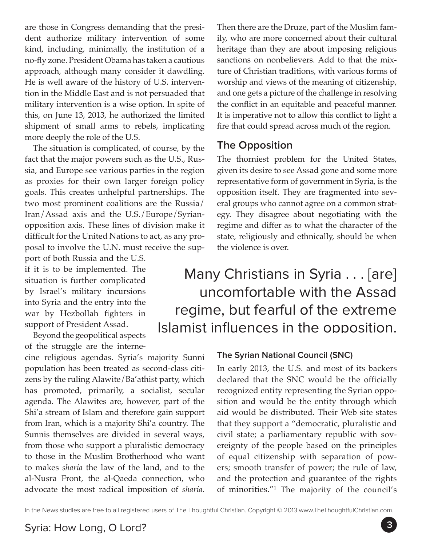are those in Congress demanding that the president authorize military intervention of some kind, including, minimally, the institution of a no-fly zone. President Obama has taken a cautious approach, although many consider it dawdling. He is well aware of the history of U.S. intervention in the Middle East and is not persuaded that military intervention is a wise option. In spite of this, on June 13, 2013, he authorized the limited shipment of small arms to rebels, implicating more deeply the role of the U.S.

The situation is complicated, of course, by the fact that the major powers such as the U.S., Russia, and Europe see various parties in the region as proxies for their own larger foreign policy goals. This creates unhelpful partnerships. The two most prominent coalitions are the Russia/ Iran/Assad axis and the U.S./Europe/Syrianopposition axis. These lines of division make it difficult for the United Nations to act, as any proposal to involve the U.N. must receive the support of both Russia and the U.S.

if it is to be implemented. The situation is further complicated by Israel's military incursions into Syria and the entry into the war by Hezbollah fighters in support of President Assad.

Beyond the geopolitical aspects of the struggle are the interne-

cine religious agendas. Syria's majority Sunni population has been treated as second-class citizens by the ruling Alawite/Ba'athist party, which has promoted, primarily, a socialist, secular agenda. The Alawites are, however, part of the Shi'a stream of Islam and therefore gain support from Iran, which is a majority Shi'a country. The Sunnis themselves are divided in several ways, from those who support a pluralistic democracy to those in the Muslim Brotherhood who want to makes *sharia* the law of the land, and to the al-Nusra Front, the al-Qaeda connection, who advocate the most radical imposition of *sharia*.

Then there are the Druze, part of the Muslim family, who are more concerned about their cultural heritage than they are about imposing religious sanctions on nonbelievers. Add to that the mixture of Christian traditions, with various forms of worship and views of the meaning of citizenship, and one gets a picture of the challenge in resolving the conflict in an equitable and peaceful manner. It is imperative not to allow this conflict to light a fire that could spread across much of the region.

### **The Opposition**

The thorniest problem for the United States, given its desire to see Assad gone and some more representative form of government in Syria, is the opposition itself. They are fragmented into several groups who cannot agree on a common strategy. They disagree about negotiating with the regime and differ as to what the character of the state, religiously and ethnically, should be when the violence is over.

Many Christians in Syria . . . [are] uncomfortable with the Assad regime, but fearful of the extreme Islamist influences in the opposition.

### **The Syrian National Council (SNC)**

In early 2013, the U.S. and most of its backers declared that the SNC would be the officially recognized entity representing the Syrian opposition and would be the entity through which aid would be distributed. Their Web site states that they support a "democratic, pluralistic and civil state; a parliamentary republic with sovereignty of the people based on the principles of equal citizenship with separation of powers; smooth transfer of power; the rule of law, and the protection and guarantee of the rights of minorities."1 The majority of the council's

In the News studies are free to all registered users of The Thoughtful Christian. Copyright © 2013 www.TheThoughtfulChristian.com.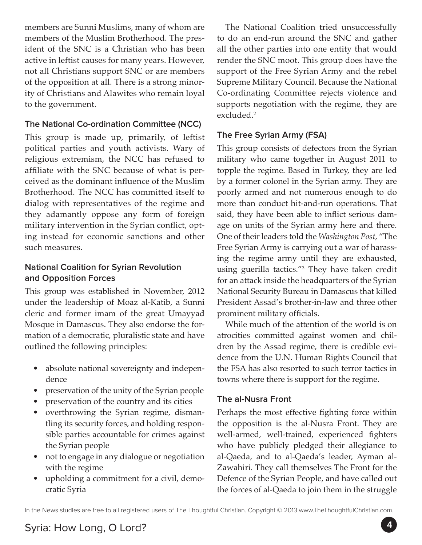members are Sunni Muslims, many of whom are members of the Muslim Brotherhood. The president of the SNC is a Christian who has been active in leftist causes for many years. However, not all Christians support SNC or are members of the opposition at all. There is a strong minority of Christians and Alawites who remain loyal to the government.

#### **The National Co-ordination Committee (NCC)**

This group is made up, primarily, of leftist political parties and youth activists. Wary of religious extremism, the NCC has refused to affiliate with the SNC because of what is perceived as the dominant influence of the Muslim Brotherhood. The NCC has committed itself to dialog with representatives of the regime and they adamantly oppose any form of foreign military intervention in the Syrian conflict, opting instead for economic sanctions and other such measures.

#### **National Coalition for Syrian Revolution and Opposition Forces**

This group was established in November, 2012 under the leadership of Moaz al-Katib, a Sunni cleric and former imam of the great Umayyad Mosque in Damascus. They also endorse the formation of a democratic, pluralistic state and have outlined the following principles:

- absolute national sovereignty and independence
- preservation of the unity of the Syrian people
- preservation of the country and its cities
- overthrowing the Syrian regime, dismantling its security forces, and holding responsible parties accountable for crimes against the Syrian people
- not to engage in any dialogue or negotiation with the regime
- upholding a commitment for a civil, democratic Syria

The National Coalition tried unsuccessfully to do an end-run around the SNC and gather all the other parties into one entity that would render the SNC moot. This group does have the support of the Free Syrian Army and the rebel Supreme Military Council. Because the National Co-ordinating Committee rejects violence and supports negotiation with the regime, they are excluded.<sup>2</sup>

#### **The Free Syrian Army (FSA)**

This group consists of defectors from the Syrian military who came together in August 2011 to topple the regime. Based in Turkey, they are led by a former colonel in the Syrian army. They are poorly armed and not numerous enough to do more than conduct hit-and-run operations. That said, they have been able to inflict serious damage on units of the Syrian army here and there. One of their leaders told the *Washington Post*, "The Free Syrian Army is carrying out a war of harassing the regime army until they are exhausted, using guerilla tactics."3 They have taken credit for an attack inside the headquarters of the Syrian National Security Bureau in Damascus that killed President Assad's brother-in-law and three other prominent military officials.

While much of the attention of the world is on atrocities committed against women and children by the Assad regime, there is credible evidence from the U.N. Human Rights Council that the FSA has also resorted to such terror tactics in towns where there is support for the regime.

#### **The al-Nusra Front**

Perhaps the most effective fighting force within the opposition is the al-Nusra Front. They are well-armed, well-trained, experienced fighters who have publicly pledged their allegiance to al-Qaeda, and to al-Qaeda's leader, Ayman al-Zawahiri. They call themselves The Front for the Defence of the Syrian People, and have called out the forces of al-Qaeda to join them in the struggle

In the News studies are free to all registered users of The Thoughtful Christian. Copyright © 2013 www.TheThoughtfulChristian.com.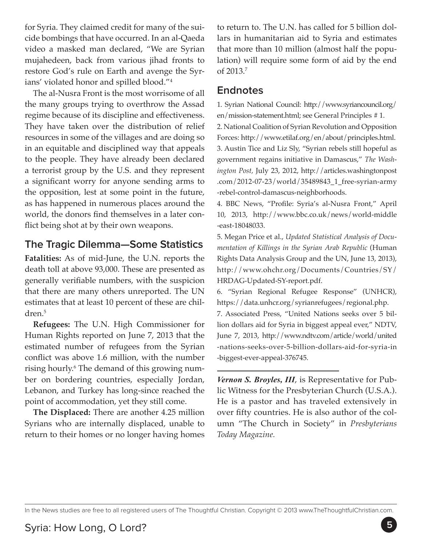for Syria. They claimed credit for many of the suicide bombings that have occurred. In an al-Qaeda video a masked man declared, "We are Syrian mujahedeen, back from various jihad fronts to restore God's rule on Earth and avenge the Syrians' violated honor and spilled blood."4

The al-Nusra Front is the most worrisome of all the many groups trying to overthrow the Assad regime because of its discipline and effectiveness. They have taken over the distribution of relief resources in some of the villages and are doing so in an equitable and disciplined way that appeals to the people. They have already been declared a terrorist group by the U.S. and they represent a significant worry for anyone sending arms to the opposition, lest at some point in the future, as has happened in numerous places around the world, the donors find themselves in a later conflict being shot at by their own weapons.

## **The Tragic Dilemma—Some Statistics**

**Fatalities:** As of mid-June, the U.N. reports the death toll at above 93,000. These are presented as generally verifiable numbers, with the suspicion that there are many others unreported. The UN estimates that at least 10 percent of these are children.5

**Refugees:** The U.N. High Commissioner for Human Rights reported on June 7, 2013 that the estimated number of refugees from the Syrian conflict was above 1.6 million, with the number rising hourly.6 The demand of this growing number on bordering countries, especially Jordan, Lebanon, and Turkey has long-since reached the point of accommodation, yet they still come.

**The Displaced:** There are another 4.25 million Syrians who are internally displaced, unable to return to their homes or no longer having homes

to return to. The U.N. has called for 5 billion dollars in humanitarian aid to Syria and estimates that more than 10 million (almost half the population) will require some form of aid by the end of 2013.7

#### **Endnotes**

1. Syrian National Council: http://www.syriancouncil.org/ en/mission-statement.html; see General Principles # 1. 2. National Coalition of Syrian Revolution and Opposition Forces: http://www.etilaf.org/en/about/principles.html. 3. Austin Tice and Liz Sly, "Syrian rebels still hopeful as government regains initiative in Damascus," *The Washington Post,* July 23, 2012, http://articles.washingtonpost .com/2012-07-23/world/35489843\_1\_free-syrian-army -rebel-control-damascus-neighborhoods.

4. BBC News, "Profile: Syria's al-Nusra Front," April 10, 2013, http://www.bbc.co.uk/news/world-middle -east-18048033.

5. Megan Price et al., *Updated Statistical Analysis of Documentation of Killings in the Syrian Arab Republic* (Human Rights Data Analysis Group and the UN, June 13, 2013), http://www.ohchr.org/Documents/Countries/SY/ HRDAG-Updated-SY-report.pdf.

6. "Syrian Regional Refugee Response" (UNHCR), https://data.unhcr.org/syrianrefugees/regional.php.

7. Associated Press, "United Nations seeks over 5 billion dollars aid for Syria in biggest appeal ever," NDTV, June 7, 2013, http://www.ndtv.com/article/world/united -nations-seeks-over-5-billion-dollars-aid-for-syria-in -biggest-ever-appeal-376745.

*Vernon S. Broyles, III*, is Representative for Public Witness for the Presbyterian Church (U.S.A.). He is a pastor and has traveled extensively in over fifty countries. He is also author of the column "The Church in Society" in *Presbyterians Today Magazine.*

In the News studies are free to all registered users of The Thoughtful Christian. Copyright © 2013 www.TheThoughtfulChristian.com.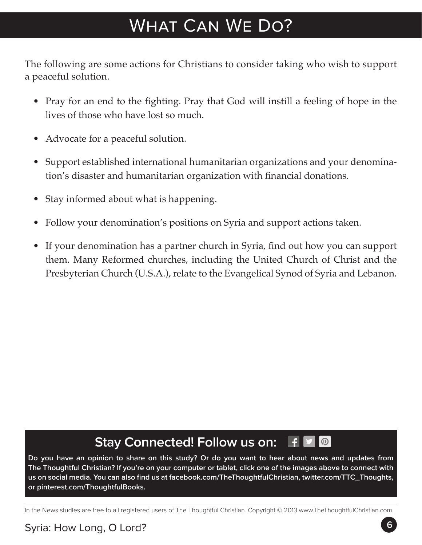# What Can We Do?

The following are some actions for Christians to consider taking who wish to support a peaceful solution.

- Pray for an end to the fighting. Pray that God will instill a feeling of hope in the lives of those who have lost so much.
- Advocate for a peaceful solution.
- Support established international humanitarian organizations and your denomination's disaster and humanitarian organization with financial donations.
- Stay informed about what is happening.
- Follow your denomination's positions on Syria and support actions taken.
- If your denomination has a partner church in Syria, find out how you can support them. Many Reformed churches, including the United Church of Christ and the Presbyterian Church (U.S.A.), relate to the Evangelical Synod of Syria and Lebanon.

#### **Stay Connected! Follow us on:** F  $\boxed{\odot}$

**Do you have an opinion to share on this study? Or do you want to hear about news and updates from The Thoughtful Christian? If you're on your computer or tablet, click one of the images above to connect with us on social media. You can also find us at facebook.com/TheThoughtfulChristian, twitter.com/TTC\_Thoughts, or pinterest.com/ThoughtfulBooks.**

In the News studies are free to all registered users of The Thoughtful Christian. Copyright © 2013 www.TheThoughtfulChristian.com.

# Syria: How Long, O Lord? **6**